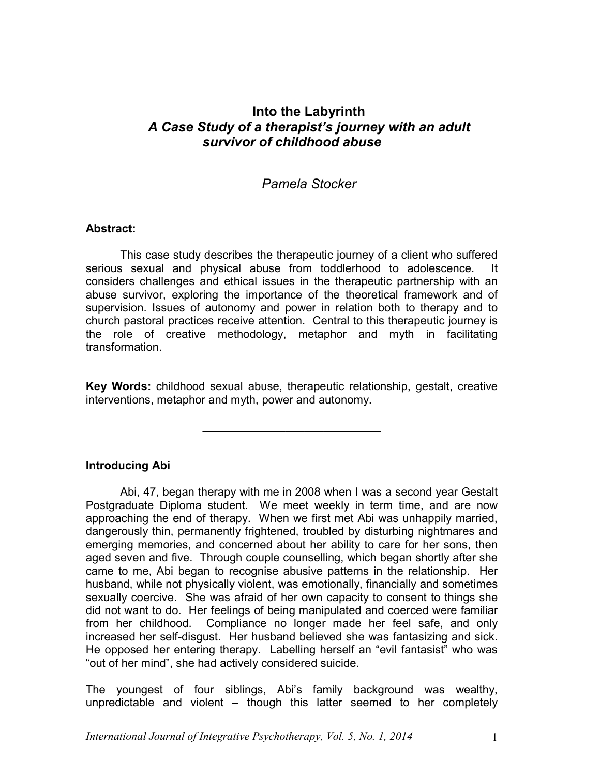# **Into the Labyrinth**  *A Case Study of a therapist's journey with an adult survivor of childhood abuse*

# *Pamela Stocker*

# **Abstract:**

This case study describes the therapeutic journey of a client who suffered serious sexual and physical abuse from toddlerhood to adolescence. It considers challenges and ethical issues in the therapeutic partnership with an abuse survivor, exploring the importance of the theoretical framework and of supervision. Issues of autonomy and power in relation both to therapy and to church pastoral practices receive attention. Central to this therapeutic journey is the role of creative methodology, metaphor and myth in facilitating transformation.

**Key Words:** childhood sexual abuse, therapeutic relationship, gestalt, creative interventions, metaphor and myth, power and autonomy.

\_\_\_\_\_\_\_\_\_\_\_\_\_\_\_\_\_\_\_\_\_\_\_\_\_\_\_\_

**Introducing Abi**

Abi, 47, began therapy with me in 2008 when I was a second year Gestalt Postgraduate Diploma student. We meet weekly in term time, and are now approaching the end of therapy. When we first met Abi was unhappily married, dangerously thin, permanently frightened, troubled by disturbing nightmares and emerging memories, and concerned about her ability to care for her sons, then aged seven and five. Through couple counselling, which began shortly after she came to me, Abi began to recognise abusive patterns in the relationship. Her husband, while not physically violent, was emotionally, financially and sometimes sexually coercive. She was afraid of her own capacity to consent to things she did not want to do. Her feelings of being manipulated and coerced were familiar from her childhood. Compliance no longer made her feel safe, and only increased her self-disgust. Her husband believed she was fantasizing and sick. He opposed her entering therapy. Labelling herself an "evil fantasist" who was "out of her mind", she had actively considered suicide.

The youngest of four siblings, Abi's family background was wealthy, unpredictable and violent – though this latter seemed to her completely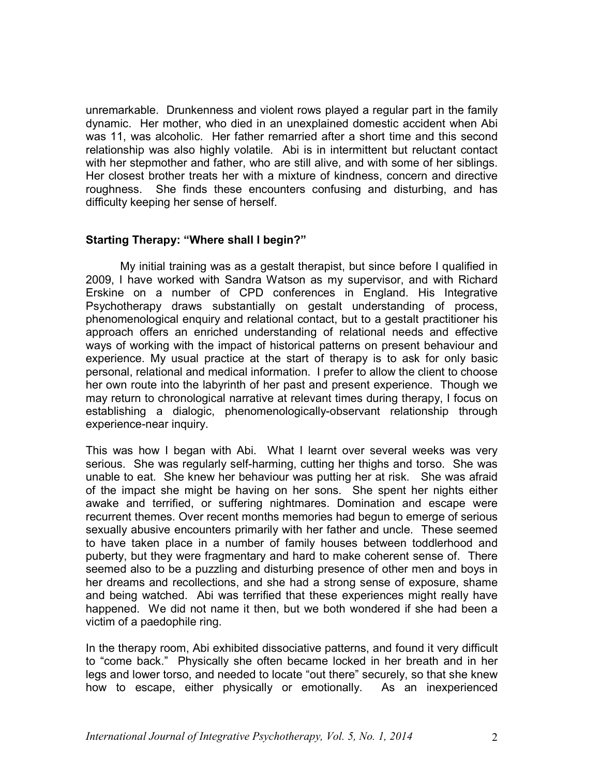unremarkable. Drunkenness and violent rows played a regular part in the family dynamic. Her mother, who died in an unexplained domestic accident when Abi was 11, was alcoholic. Her father remarried after a short time and this second relationship was also highly volatile. Abi is in intermittent but reluctant contact with her stepmother and father, who are still alive, and with some of her siblings. Her closest brother treats her with a mixture of kindness, concern and directive roughness. She finds these encounters confusing and disturbing, and has difficulty keeping her sense of herself.

# **Starting Therapy: "Where shall I begin?"**

My initial training was as a gestalt therapist, but since before I qualified in 2009, I have worked with Sandra Watson as my supervisor, and with Richard Erskine on a number of CPD conferences in England. His Integrative Psychotherapy draws substantially on gestalt understanding of process, phenomenological enquiry and relational contact, but to a gestalt practitioner his approach offers an enriched understanding of relational needs and effective ways of working with the impact of historical patterns on present behaviour and experience. My usual practice at the start of therapy is to ask for only basic personal, relational and medical information. I prefer to allow the client to choose her own route into the labyrinth of her past and present experience. Though we may return to chronological narrative at relevant times during therapy, I focus on establishing a dialogic, phenomenologically-observant relationship through experience-near inquiry.

This was how I began with Abi. What I learnt over several weeks was very serious. She was regularly self-harming, cutting her thighs and torso. She was unable to eat. She knew her behaviour was putting her at risk. She was afraid of the impact she might be having on her sons. She spent her nights either awake and terrified, or suffering nightmares. Domination and escape were recurrent themes. Over recent months memories had begun to emerge of serious sexually abusive encounters primarily with her father and uncle. These seemed to have taken place in a number of family houses between toddlerhood and puberty, but they were fragmentary and hard to make coherent sense of. There seemed also to be a puzzling and disturbing presence of other men and boys in her dreams and recollections, and she had a strong sense of exposure, shame and being watched. Abi was terrified that these experiences might really have happened. We did not name it then, but we both wondered if she had been a victim of a paedophile ring.

In the therapy room, Abi exhibited dissociative patterns, and found it very difficult to "come back." Physically she often became locked in her breath and in her legs and lower torso, and needed to locate "out there" securely, so that she knew how to escape, either physically or emotionally. As an inexperienced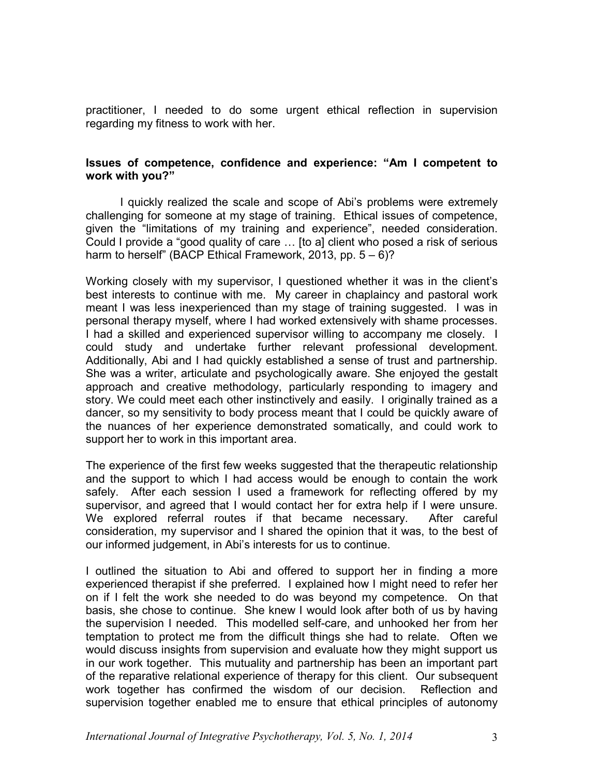practitioner, I needed to do some urgent ethical reflection in supervision regarding my fitness to work with her.

# **Issues of competence, confidence and experience: "Am I competent to work with you?"**

I quickly realized the scale and scope of Abi's problems were extremely challenging for someone at my stage of training. Ethical issues of competence, given the "limitations of my training and experience", needed consideration. Could I provide a "good quality of care … [to a] client who posed a risk of serious harm to herself" (BACP Ethical Framework, 2013, pp. 5 – 6)?

Working closely with my supervisor, I questioned whether it was in the client's best interests to continue with me. My career in chaplaincy and pastoral work meant I was less inexperienced than my stage of training suggested. I was in personal therapy myself, where I had worked extensively with shame processes. I had a skilled and experienced supervisor willing to accompany me closely. I could study and undertake further relevant professional development. Additionally, Abi and I had quickly established a sense of trust and partnership. She was a writer, articulate and psychologically aware. She enjoyed the gestalt approach and creative methodology, particularly responding to imagery and story. We could meet each other instinctively and easily. I originally trained as a dancer, so my sensitivity to body process meant that I could be quickly aware of the nuances of her experience demonstrated somatically, and could work to support her to work in this important area.

The experience of the first few weeks suggested that the therapeutic relationship and the support to which I had access would be enough to contain the work safely. After each session I used a framework for reflecting offered by my supervisor, and agreed that I would contact her for extra help if I were unsure. We explored referral routes if that became necessary. After careful consideration, my supervisor and I shared the opinion that it was, to the best of our informed judgement, in Abi's interests for us to continue.

I outlined the situation to Abi and offered to support her in finding a more experienced therapist if she preferred. I explained how I might need to refer her on if I felt the work she needed to do was beyond my competence. On that basis, she chose to continue. She knew I would look after both of us by having the supervision I needed. This modelled self-care, and unhooked her from her temptation to protect me from the difficult things she had to relate. Often we would discuss insights from supervision and evaluate how they might support us in our work together. This mutuality and partnership has been an important part of the reparative relational experience of therapy for this client. Our subsequent work together has confirmed the wisdom of our decision. Reflection and supervision together enabled me to ensure that ethical principles of autonomy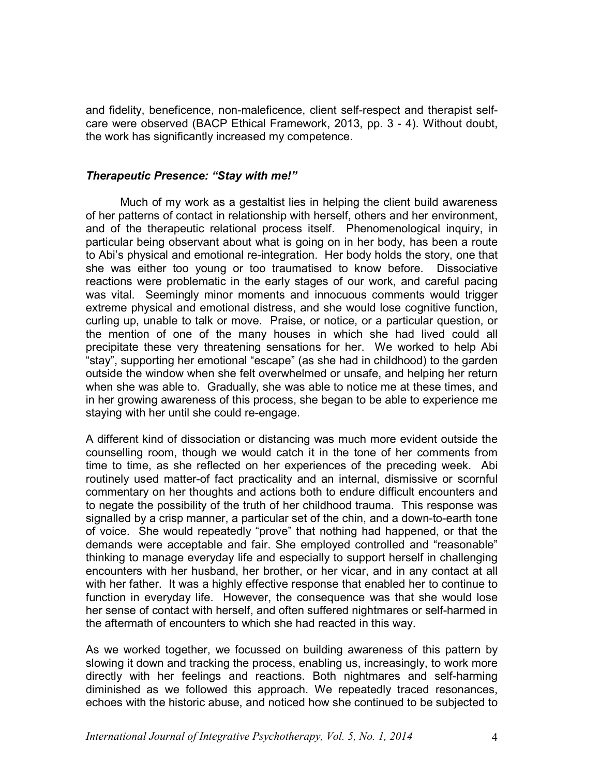and fidelity, beneficence, non-maleficence, client self-respect and therapist selfcare were observed (BACP Ethical Framework, 2013, pp. 3 - 4). Without doubt, the work has significantly increased my competence.

#### *Therapeutic Presence: "Stay with me!"*

Much of my work as a gestaltist lies in helping the client build awareness of her patterns of contact in relationship with herself, others and her environment, and of the therapeutic relational process itself. Phenomenological inquiry, in particular being observant about what is going on in her body, has been a route to Abi's physical and emotional re-integration. Her body holds the story, one that she was either too young or too traumatised to know before. Dissociative reactions were problematic in the early stages of our work, and careful pacing was vital. Seemingly minor moments and innocuous comments would trigger extreme physical and emotional distress, and she would lose cognitive function, curling up, unable to talk or move. Praise, or notice, or a particular question, or the mention of one of the many houses in which she had lived could all precipitate these very threatening sensations for her. We worked to help Abi "stay", supporting her emotional "escape" (as she had in childhood) to the garden outside the window when she felt overwhelmed or unsafe, and helping her return when she was able to. Gradually, she was able to notice me at these times, and in her growing awareness of this process, she began to be able to experience me staying with her until she could re-engage.

A different kind of dissociation or distancing was much more evident outside the counselling room, though we would catch it in the tone of her comments from time to time, as she reflected on her experiences of the preceding week. Abi routinely used matter-of fact practicality and an internal, dismissive or scornful commentary on her thoughts and actions both to endure difficult encounters and to negate the possibility of the truth of her childhood trauma. This response was signalled by a crisp manner, a particular set of the chin, and a down-to-earth tone of voice. She would repeatedly "prove" that nothing had happened, or that the demands were acceptable and fair. She employed controlled and "reasonable" thinking to manage everyday life and especially to support herself in challenging encounters with her husband, her brother, or her vicar, and in any contact at all with her father. It was a highly effective response that enabled her to continue to function in everyday life. However, the consequence was that she would lose her sense of contact with herself, and often suffered nightmares or self-harmed in the aftermath of encounters to which she had reacted in this way.

As we worked together, we focussed on building awareness of this pattern by slowing it down and tracking the process, enabling us, increasingly, to work more directly with her feelings and reactions. Both nightmares and self-harming diminished as we followed this approach. We repeatedly traced resonances, echoes with the historic abuse, and noticed how she continued to be subjected to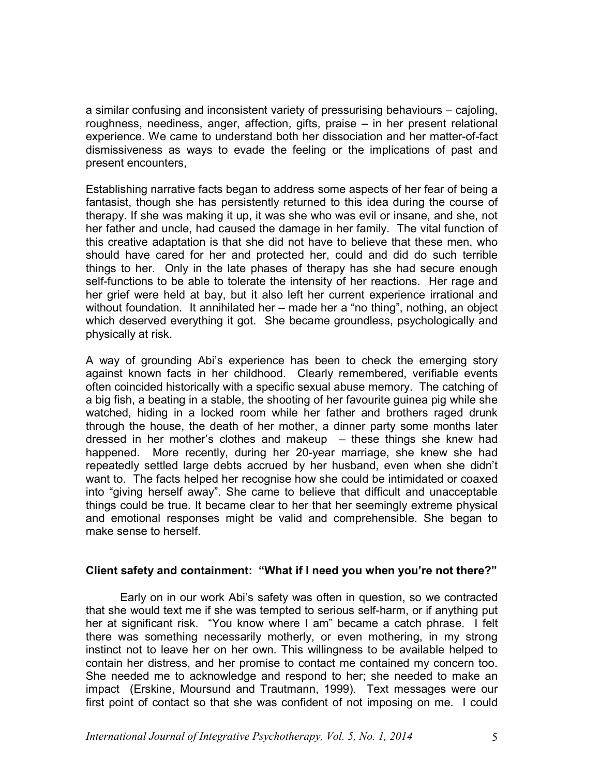a similar confusing and inconsistent variety of pressurising behaviours – cajoling, roughness, neediness, anger, affection, gifts, praise – in her present relational experience. We came to understand both her dissociation and her matter-of-fact dismissiveness as ways to evade the feeling or the implications of past and present encounters,

Establishing narrative facts began to address some aspects of her fear of being a fantasist, though she has persistently returned to this idea during the course of therapy. If she was making it up, it was she who was evil or insane, and she, not her father and uncle, had caused the damage in her family. The vital function of this creative adaptation is that she did not have to believe that these men, who should have cared for her and protected her, could and did do such terrible things to her. Only in the late phases of therapy has she had secure enough self-functions to be able to tolerate the intensity of her reactions. Her rage and her grief were held at bay, but it also left her current experience irrational and without foundation. It annihilated her – made her a "no thing", nothing, an object which deserved everything it got. She became groundless, psychologically and physically at risk.

A way of grounding Abi's experience has been to check the emerging story against known facts in her childhood. Clearly remembered, verifiable events often coincided historically with a specific sexual abuse memory. The catching of a big fish, a beating in a stable, the shooting of her favourite guinea pig while she watched, hiding in a locked room while her father and brothers raged drunk through the house, the death of her mother, a dinner party some months later dressed in her mother's clothes and makeup  $-$  these things she knew had happened. More recently, during her 20-year marriage, she knew she had repeatedly settled large debts accrued by her husband, even when she didn't want to. The facts helped her recognise how she could be intimidated or coaxed into "giving herself away". She came to believe that difficult and unacceptable things could be true. It became clear to her that her seemingly extreme physical and emotional responses might be valid and comprehensible. She began to make sense to herself

# **Client safety and containment: "What if I need you when you're not there?"**

Early on in our work Abi's safety was often in question, so we contracted that she would text me if she was tempted to serious self-harm, or if anything put her at significant risk. "You know where I am" became a catch phrase. I felt there was something necessarily motherly, or even mothering, in my strong instinct not to leave her on her own. This willingness to be available helped to contain her distress, and her promise to contact me contained my concern too. She needed me to acknowledge and respond to her; she needed to make an impact (Erskine, Moursund and Trautmann, 1999)*.* Text messages were our first point of contact so that she was confident of not imposing on me. I could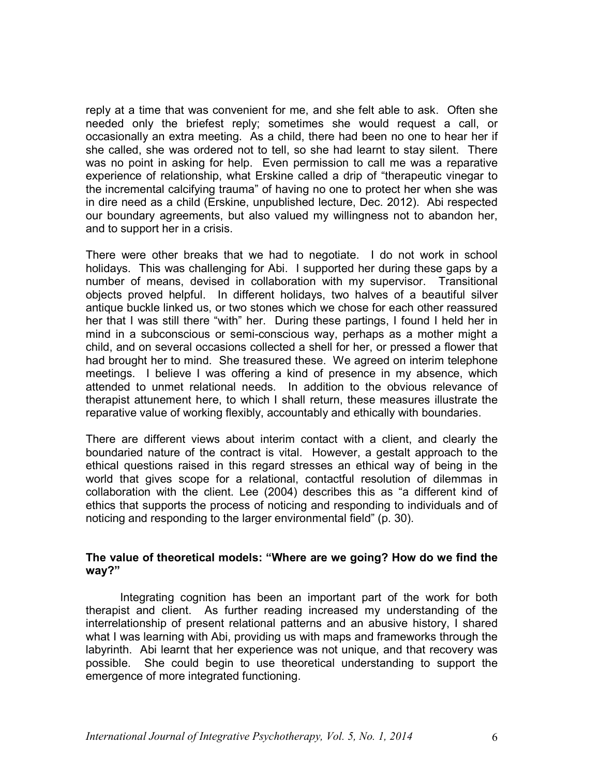reply at a time that was convenient for me, and she felt able to ask. Often she needed only the briefest reply; sometimes she would request a call, or occasionally an extra meeting. As a child, there had been no one to hear her if she called, she was ordered not to tell, so she had learnt to stay silent. There was no point in asking for help. Even permission to call me was a reparative experience of relationship, what Erskine called a drip of "therapeutic vinegar to the incremental calcifying trauma" of having no one to protect her when she was in dire need as a child (Erskine, unpublished lecture, Dec. 2012). Abi respected our boundary agreements, but also valued my willingness not to abandon her, and to support her in a crisis.

There were other breaks that we had to negotiate. I do not work in school holidays. This was challenging for Abi. I supported her during these gaps by a number of means, devised in collaboration with my supervisor. Transitional objects proved helpful. In different holidays, two halves of a beautiful silver antique buckle linked us, or two stones which we chose for each other reassured her that I was still there "with" her. During these partings, I found I held her in mind in a subconscious or semi-conscious way, perhaps as a mother might a child, and on several occasions collected a shell for her, or pressed a flower that had brought her to mind. She treasured these. We agreed on interim telephone meetings. I believe I was offering a kind of presence in my absence, which attended to unmet relational needs. In addition to the obvious relevance of therapist attunement here, to which I shall return, these measures illustrate the reparative value of working flexibly, accountably and ethically with boundaries.

There are different views about interim contact with a client, and clearly the boundaried nature of the contract is vital. However, a gestalt approach to the ethical questions raised in this regard stresses an ethical way of being in the world that gives scope for a relational, contactful resolution of dilemmas in collaboration with the client. Lee (2004) describes this as "a different kind of ethics that supports the process of noticing and responding to individuals and of noticing and responding to the larger environmental field" (p. 30).

#### **The value of theoretical models: "Where are we going? How do we find the way?"**

Integrating cognition has been an important part of the work for both therapist and client. As further reading increased my understanding of the interrelationship of present relational patterns and an abusive history, I shared what I was learning with Abi, providing us with maps and frameworks through the labyrinth. Abi learnt that her experience was not unique, and that recovery was possible. She could begin to use theoretical understanding to support the emergence of more integrated functioning.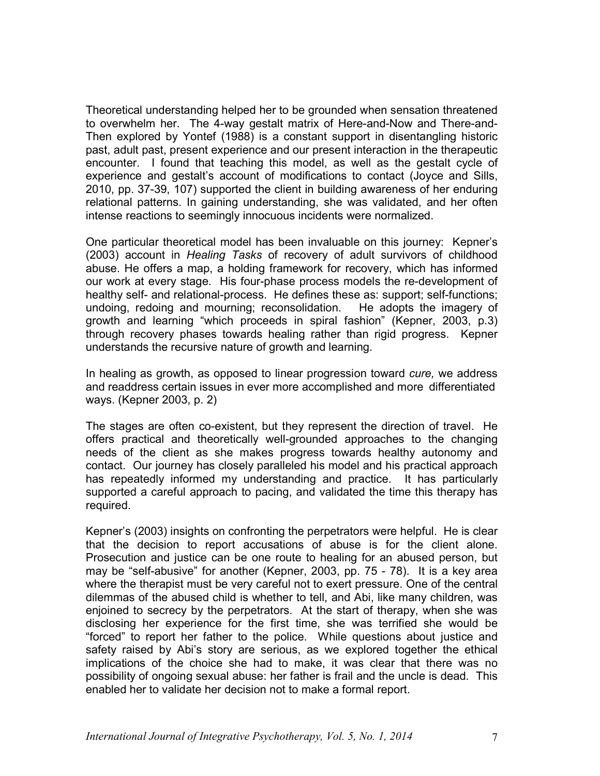Theoretical understanding helped her to be grounded when sensation threatened to overwhelm her. The 4-way gestalt matrix of Here-and-Now and There-and-Then explored by Yontef (1988) is a constant support in disentangling historic past, adult past, present experience and our present interaction in the therapeutic encounter. I found that teaching this model, as well as the gestalt cycle of experience and gestalt's account of modifications to contact (Joyce and Sills, 2010, pp. 37-39, 107) supported the client in building awareness of her enduring relational patterns. In gaining understanding, she was validated, and her often intense reactions to seemingly innocuous incidents were normalized.

One particular theoretical model has been invaluable on this journey: Kepner's (2003) account in *Healing Tasks* of recovery of adult survivors of childhood abuse. He offers a map, a holding framework for recovery, which has informed our work at every stage. His four-phase process models the re-development of healthy self- and relational-process. He defines these as: support; self-functions; undoing, redoing and mourning; reconsolidation. He adopts the imagery of growth and learning "which proceeds in spiral fashion" (Kepner, 2003, p.3) through recovery phases towards healing rather than rigid progress. Kepner understands the recursive nature of growth and learning.

In healing as growth, as opposed to linear progression toward *cure,* we address and readdress certain issues in ever more accomplished and more differentiated ways. (Kepner 2003, p. 2)

The stages are often co-existent, but they represent the direction of travel. He offers practical and theoretically well-grounded approaches to the changing needs of the client as she makes progress towards healthy autonomy and contact. Our journey has closely paralleled his model and his practical approach has repeatedly informed my understanding and practice. It has particularly supported a careful approach to pacing, and validated the time this therapy has required.

Kepner's (2003) insights on confronting the perpetrators were helpful. He is clear that the decision to report accusations of abuse is for the client alone. Prosecution and justice can be one route to healing for an abused person, but may be "self-abusive" for another (Kepner, 2003, pp. 75 - 78). It is a key area where the therapist must be very careful not to exert pressure. One of the central dilemmas of the abused child is whether to tell, and Abi, like many children, was enjoined to secrecy by the perpetrators. At the start of therapy, when she was disclosing her experience for the first time, she was terrified she would be "forced" to report her father to the police. While questions about justice and safety raised by Abi's story are serious, as we explored together the ethical implications of the choice she had to make, it was clear that there was no possibility of ongoing sexual abuse: her father is frail and the uncle is dead. This enabled her to validate her decision not to make a formal report.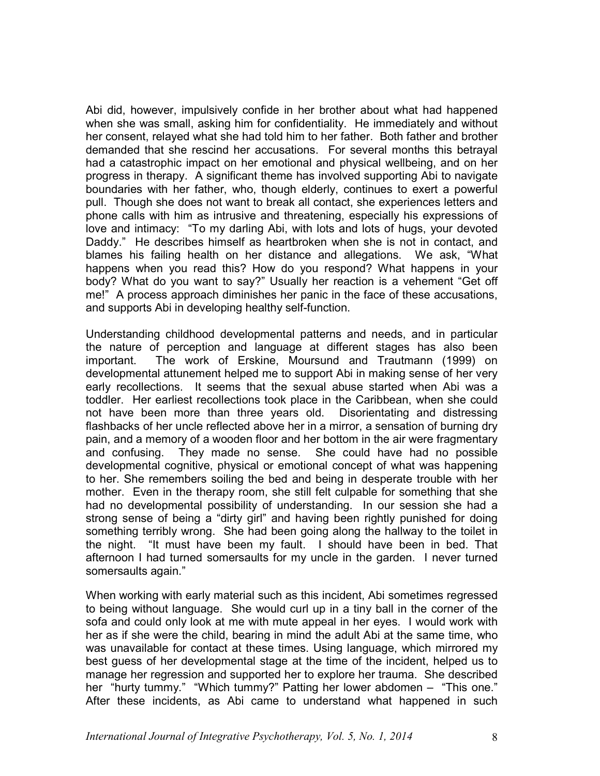Abi did, however, impulsively confide in her brother about what had happened when she was small, asking him for confidentiality. He immediately and without her consent, relayed what she had told him to her father. Both father and brother demanded that she rescind her accusations. For several months this betrayal had a catastrophic impact on her emotional and physical wellbeing, and on her progress in therapy. A significant theme has involved supporting Abi to navigate boundaries with her father, who, though elderly, continues to exert a powerful pull. Though she does not want to break all contact, she experiences letters and phone calls with him as intrusive and threatening, especially his expressions of love and intimacy: "To my darling Abi, with lots and lots of hugs, your devoted Daddy." He describes himself as heartbroken when she is not in contact, and blames his failing health on her distance and allegations. We ask, "What happens when you read this? How do you respond? What happens in your body? What do you want to say?" Usually her reaction is a vehement "Get off me!" A process approach diminishes her panic in the face of these accusations, and supports Abi in developing healthy self-function.

Understanding childhood developmental patterns and needs, and in particular the nature of perception and language at different stages has also been important. The work of Erskine, Moursund and Trautmann (1999) on developmental attunement helped me to support Abi in making sense of her very early recollections. It seems that the sexual abuse started when Abi was a toddler. Her earliest recollections took place in the Caribbean, when she could not have been more than three years old. Disorientating and distressing flashbacks of her uncle reflected above her in a mirror, a sensation of burning dry pain, and a memory of a wooden floor and her bottom in the air were fragmentary and confusing. They made no sense. She could have had no possible developmental cognitive, physical or emotional concept of what was happening to her. She remembers soiling the bed and being in desperate trouble with her mother. Even in the therapy room, she still felt culpable for something that she had no developmental possibility of understanding. In our session she had a strong sense of being a "dirty girl" and having been rightly punished for doing something terribly wrong. She had been going along the hallway to the toilet in the night. "It must have been my fault. I should have been in bed. That afternoon I had turned somersaults for my uncle in the garden. I never turned somersaults again."

When working with early material such as this incident, Abi sometimes regressed to being without language. She would curl up in a tiny ball in the corner of the sofa and could only look at me with mute appeal in her eyes. I would work with her as if she were the child, bearing in mind the adult Abi at the same time, who was unavailable for contact at these times. Using language, which mirrored my best guess of her developmental stage at the time of the incident, helped us to manage her regression and supported her to explore her trauma. She described her "hurty tummy." "Which tummy?" Patting her lower abdomen – "This one." After these incidents, as Abi came to understand what happened in such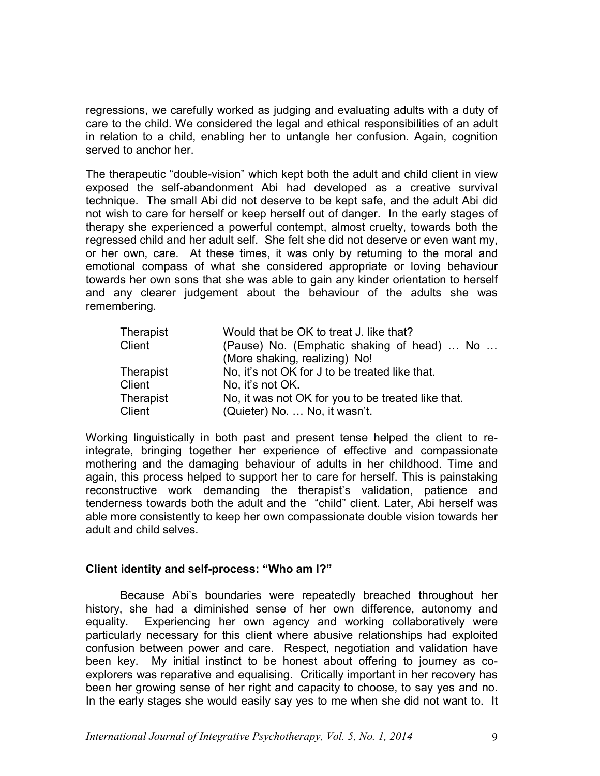regressions, we carefully worked as judging and evaluating adults with a duty of care to the child. We considered the legal and ethical responsibilities of an adult in relation to a child, enabling her to untangle her confusion. Again, cognition served to anchor her.

The therapeutic "double-vision" which kept both the adult and child client in view exposed the self-abandonment Abi had developed as a creative survival technique. The small Abi did not deserve to be kept safe, and the adult Abi did not wish to care for herself or keep herself out of danger. In the early stages of therapy she experienced a powerful contempt, almost cruelty, towards both the regressed child and her adult self. She felt she did not deserve or even want my, or her own, care. At these times, it was only by returning to the moral and emotional compass of what she considered appropriate or loving behaviour towards her own sons that she was able to gain any kinder orientation to herself and any clearer judgement about the behaviour of the adults she was remembering.

| Therapist | Would that be OK to treat J. like that?            |
|-----------|----------------------------------------------------|
| Client    | (Pause) No. (Emphatic shaking of head)  No         |
|           | (More shaking, realizing) No!                      |
| Therapist | No, it's not OK for J to be treated like that.     |
| Client    | No. it's not OK.                                   |
| Therapist | No, it was not OK for you to be treated like that. |
| Client    | (Quieter) No.  No, it wasn't.                      |

Working linguistically in both past and present tense helped the client to reintegrate, bringing together her experience of effective and compassionate mothering and the damaging behaviour of adults in her childhood. Time and again, this process helped to support her to care for herself. This is painstaking reconstructive work demanding the therapist's validation, patience and tenderness towards both the adult and the "child" client. Later, Abi herself was able more consistently to keep her own compassionate double vision towards her adult and child selves.

# **Client identity and self-process: "Who am I?"**

Because Abi's boundaries were repeatedly breached throughout her history, she had a diminished sense of her own difference, autonomy and equality. Experiencing her own agency and working collaboratively were particularly necessary for this client where abusive relationships had exploited confusion between power and care. Respect, negotiation and validation have been key. My initial instinct to be honest about offering to journey as coexplorers was reparative and equalising. Critically important in her recovery has been her growing sense of her right and capacity to choose, to say yes and no. In the early stages she would easily say yes to me when she did not want to. It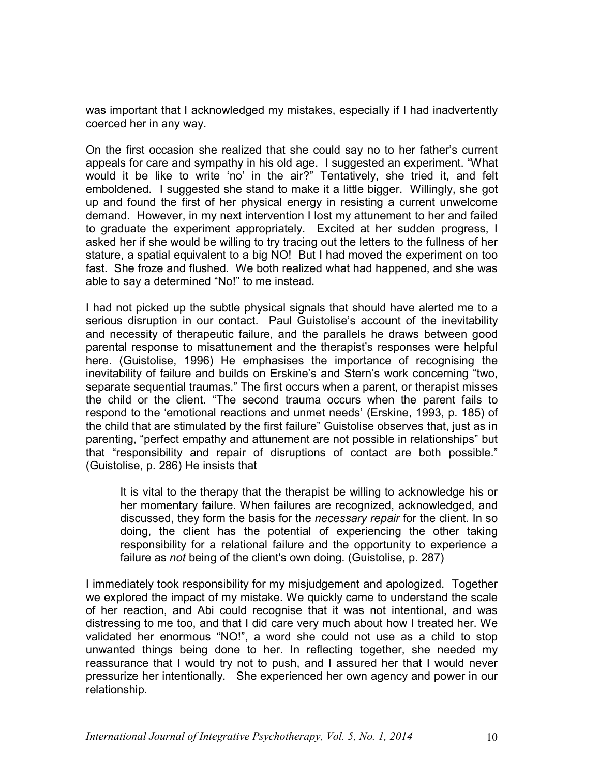was important that I acknowledged my mistakes, especially if I had inadvertently coerced her in any way.

On the first occasion she realized that she could say no to her father's current appeals for care and sympathy in his old age. I suggested an experiment. "What would it be like to write 'no' in the air?" Tentatively, she tried it, and felt emboldened. I suggested she stand to make it a little bigger. Willingly, she got up and found the first of her physical energy in resisting a current unwelcome demand. However, in my next intervention I lost my attunement to her and failed to graduate the experiment appropriately. Excited at her sudden progress, I asked her if she would be willing to try tracing out the letters to the fullness of her stature, a spatial equivalent to a big NO! But I had moved the experiment on too fast. She froze and flushed. We both realized what had happened, and she was able to say a determined "No!" to me instead.

I had not picked up the subtle physical signals that should have alerted me to a serious disruption in our contact. Paul Guistolise's account of the inevitability and necessity of therapeutic failure, and the parallels he draws between good parental response to misattunement and the therapist's responses were helpful here. (Guistolise, 1996) He emphasises the importance of recognising the inevitability of failure and builds on Erskine's and Stern's work concerning "two, separate sequential traumas." The first occurs when a parent, or therapist misses the child or the client. "The second trauma occurs when the parent fails to respond to the 'emotional reactions and unmet needs' (Erskine, 1993, p. 185) of the child that are stimulated by the first failure" Guistolise observes that, just as in parenting, "perfect empathy and attunement are not possible in relationships" but that "responsibility and repair of disruptions of contact are both possible." (Guistolise, p. 286) He insists that

It is vital to the therapy that the therapist be willing to acknowledge his or her momentary failure. When failures are recognized, acknowledged, and discussed, they form the basis for the *necessary repair* for the client. In so doing, the client has the potential of experiencing the other taking responsibility for a relational failure and the opportunity to experience a failure as *not* being of the client's own doing. (Guistolise, p. 287)

I immediately took responsibility for my misjudgement and apologized. Together we explored the impact of my mistake. We quickly came to understand the scale of her reaction, and Abi could recognise that it was not intentional, and was distressing to me too, and that I did care very much about how I treated her. We validated her enormous "NO!", a word she could not use as a child to stop unwanted things being done to her. In reflecting together, she needed my reassurance that I would try not to push, and I assured her that I would never pressurize her intentionally. She experienced her own agency and power in our relationship.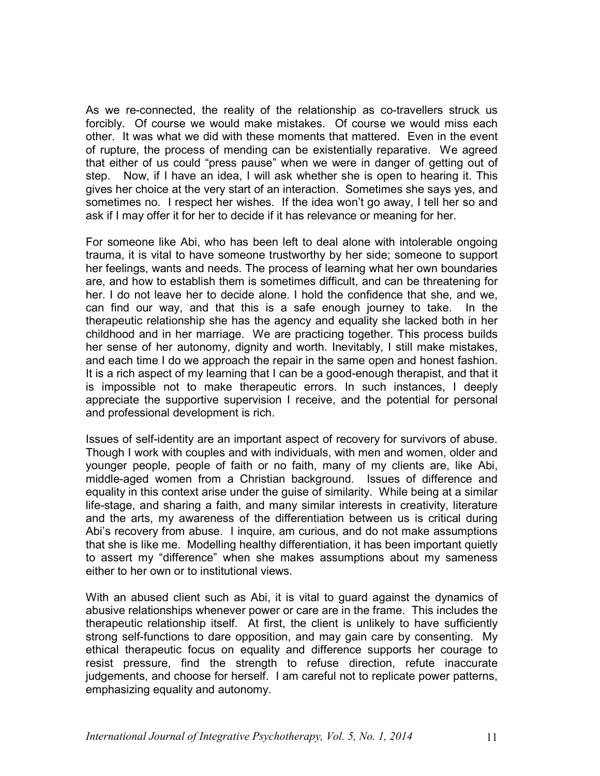As we re-connected, the reality of the relationship as co-travellers struck us forcibly. Of course we would make mistakes. Of course we would miss each other. It was what we did with these moments that mattered. Even in the event of rupture, the process of mending can be existentially reparative. We agreed that either of us could "press pause" when we were in danger of getting out of step. Now, if I have an idea, I will ask whether she is open to hearing it. This gives her choice at the very start of an interaction. Sometimes she says yes, and sometimes no. I respect her wishes. If the idea won't go away, I tell her so and ask if I may offer it for her to decide if it has relevance or meaning for her.

For someone like Abi, who has been left to deal alone with intolerable ongoing trauma, it is vital to have someone trustworthy by her side; someone to support her feelings, wants and needs. The process of learning what her own boundaries are, and how to establish them is sometimes difficult, and can be threatening for her. I do not leave her to decide alone. I hold the confidence that she, and we, can find our way, and that this is a safe enough journey to take. In the therapeutic relationship she has the agency and equality she lacked both in her childhood and in her marriage. We are practicing together. This process builds her sense of her autonomy, dignity and worth. Inevitably, I still make mistakes, and each time I do we approach the repair in the same open and honest fashion. It is a rich aspect of my learning that I can be a good-enough therapist, and that it is impossible not to make therapeutic errors. In such instances, I deeply appreciate the supportive supervision I receive, and the potential for personal and professional development is rich.

Issues of self-identity are an important aspect of recovery for survivors of abuse. Though I work with couples and with individuals, with men and women, older and younger people, people of faith or no faith, many of my clients are, like Abi, middle-aged women from a Christian background. Issues of difference and equality in this context arise under the guise of similarity. While being at a similar life-stage, and sharing a faith, and many similar interests in creativity, literature and the arts, my awareness of the differentiation between us is critical during Abi's recovery from abuse. I inquire, am curious, and do not make assumptions that she is like me. Modelling healthy differentiation, it has been important quietly to assert my "difference" when she makes assumptions about my sameness either to her own or to institutional views.

With an abused client such as Abi, it is vital to guard against the dynamics of abusive relationships whenever power or care are in the frame. This includes the therapeutic relationship itself. At first, the client is unlikely to have sufficiently strong self-functions to dare opposition, and may gain care by consenting. My ethical therapeutic focus on equality and difference supports her courage to resist pressure, find the strength to refuse direction, refute inaccurate judgements, and choose for herself. I am careful not to replicate power patterns, emphasizing equality and autonomy.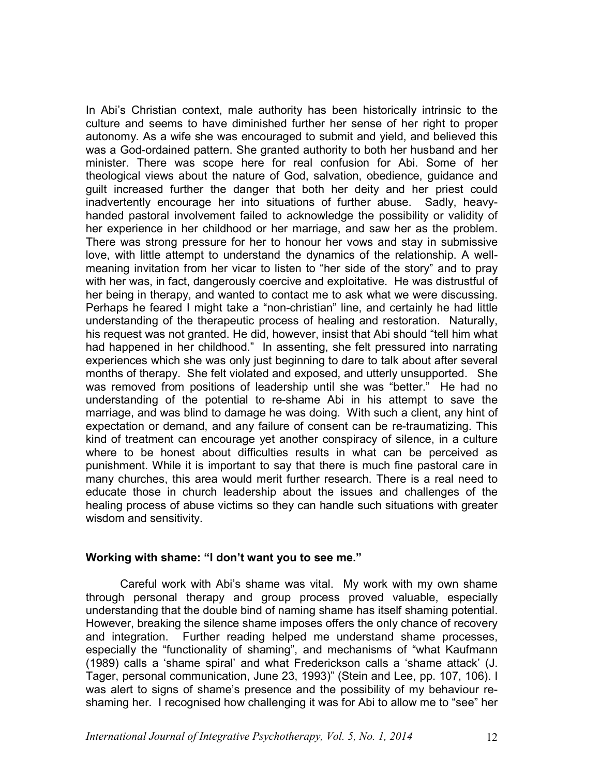In Abi's Christian context, male authority has been historically intrinsic to the culture and seems to have diminished further her sense of her right to proper autonomy. As a wife she was encouraged to submit and yield, and believed this was a God-ordained pattern. She granted authority to both her husband and her minister. There was scope here for real confusion for Abi. Some of her theological views about the nature of God, salvation, obedience, guidance and guilt increased further the danger that both her deity and her priest could inadvertently encourage her into situations of further abuse. Sadly, heavyhanded pastoral involvement failed to acknowledge the possibility or validity of her experience in her childhood or her marriage, and saw her as the problem. There was strong pressure for her to honour her vows and stay in submissive love, with little attempt to understand the dynamics of the relationship. A wellmeaning invitation from her vicar to listen to "her side of the story" and to pray with her was, in fact, dangerously coercive and exploitative. He was distrustful of her being in therapy, and wanted to contact me to ask what we were discussing. Perhaps he feared I might take a "non-christian" line, and certainly he had little understanding of the therapeutic process of healing and restoration. Naturally, his request was not granted. He did, however, insist that Abi should "tell him what had happened in her childhood." In assenting, she felt pressured into narrating experiences which she was only just beginning to dare to talk about after several months of therapy. She felt violated and exposed, and utterly unsupported. She was removed from positions of leadership until she was "better." He had no understanding of the potential to re-shame Abi in his attempt to save the marriage, and was blind to damage he was doing. With such a client, any hint of expectation or demand, and any failure of consent can be re-traumatizing. This kind of treatment can encourage yet another conspiracy of silence, in a culture where to be honest about difficulties results in what can be perceived as punishment. While it is important to say that there is much fine pastoral care in many churches, this area would merit further research. There is a real need to educate those in church leadership about the issues and challenges of the healing process of abuse victims so they can handle such situations with greater wisdom and sensitivity.

#### **Working with shame: "I don't want you to see me."**

Careful work with Abi's shame was vital. My work with my own shame through personal therapy and group process proved valuable, especially understanding that the double bind of naming shame has itself shaming potential. However, breaking the silence shame imposes offers the only chance of recovery and integration. Further reading helped me understand shame processes, especially the "functionality of shaming", and mechanisms of "what Kaufmann (1989) calls a 'shame spiral' and what Frederickson calls a 'shame attack' (J. Tager, personal communication, June 23, 1993)" (Stein and Lee, pp. 107, 106). I was alert to signs of shame's presence and the possibility of my behaviour reshaming her. I recognised how challenging it was for Abi to allow me to "see" her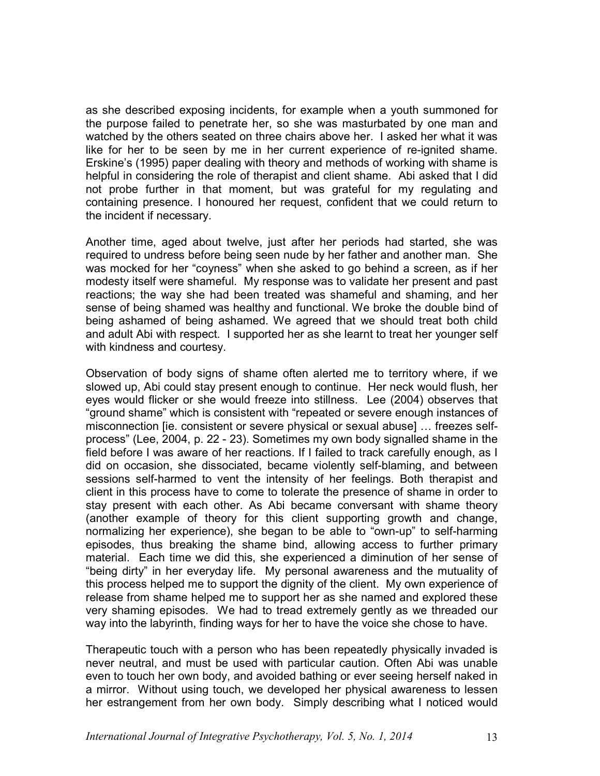as she described exposing incidents, for example when a youth summoned for the purpose failed to penetrate her, so she was masturbated by one man and watched by the others seated on three chairs above her. I asked her what it was like for her to be seen by me in her current experience of re-ignited shame. Erskine's (1995) paper dealing with theory and methods of working with shame is helpful in considering the role of therapist and client shame. Abi asked that I did not probe further in that moment, but was grateful for my regulating and containing presence. I honoured her request, confident that we could return to the incident if necessary.

Another time, aged about twelve, just after her periods had started, she was required to undress before being seen nude by her father and another man. She was mocked for her "coyness" when she asked to go behind a screen, as if her modesty itself were shameful. My response was to validate her present and past reactions; the way she had been treated was shameful and shaming, and her sense of being shamed was healthy and functional. We broke the double bind of being ashamed of being ashamed. We agreed that we should treat both child and adult Abi with respect. I supported her as she learnt to treat her younger self with kindness and courtesy.

Observation of body signs of shame often alerted me to territory where, if we slowed up, Abi could stay present enough to continue. Her neck would flush, her eyes would flicker or she would freeze into stillness. Lee (2004) observes that "ground shame" which is consistent with "repeated or severe enough instances of misconnection [ie. consistent or severe physical or sexual abuse] … freezes selfprocess" (Lee, 2004, p. 22 - 23). Sometimes my own body signalled shame in the field before I was aware of her reactions. If I failed to track carefully enough, as I did on occasion, she dissociated, became violently self-blaming, and between sessions self-harmed to vent the intensity of her feelings. Both therapist and client in this process have to come to tolerate the presence of shame in order to stay present with each other. As Abi became conversant with shame theory (another example of theory for this client supporting growth and change, normalizing her experience), she began to be able to "own-up" to self-harming episodes, thus breaking the shame bind, allowing access to further primary material. Each time we did this, she experienced a diminution of her sense of "being dirty" in her everyday life. My personal awareness and the mutuality of this process helped me to support the dignity of the client. My own experience of release from shame helped me to support her as she named and explored these very shaming episodes. We had to tread extremely gently as we threaded our way into the labyrinth, finding ways for her to have the voice she chose to have.

Therapeutic touch with a person who has been repeatedly physically invaded is never neutral, and must be used with particular caution. Often Abi was unable even to touch her own body, and avoided bathing or ever seeing herself naked in a mirror. Without using touch, we developed her physical awareness to lessen her estrangement from her own body. Simply describing what I noticed would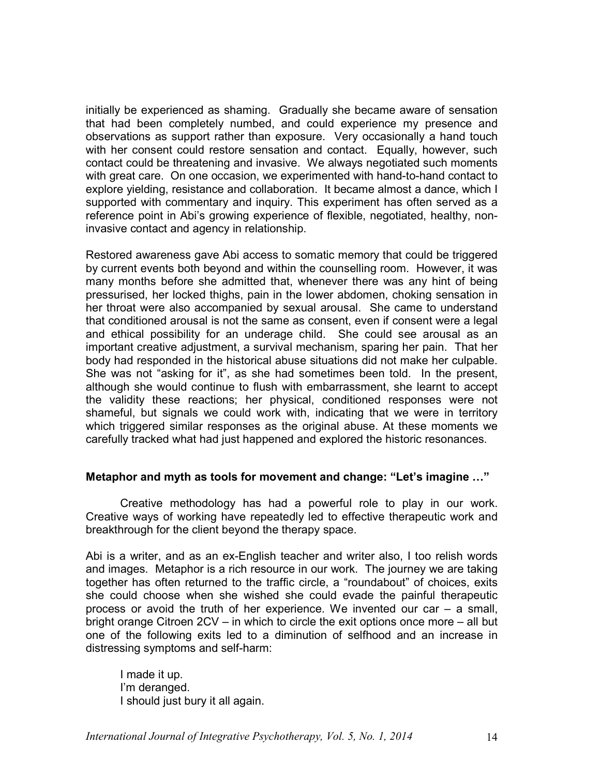initially be experienced as shaming. Gradually she became aware of sensation that had been completely numbed, and could experience my presence and observations as support rather than exposure. Very occasionally a hand touch with her consent could restore sensation and contact. Equally, however, such contact could be threatening and invasive. We always negotiated such moments with great care. On one occasion, we experimented with hand-to-hand contact to explore yielding, resistance and collaboration. It became almost a dance, which I supported with commentary and inquiry. This experiment has often served as a reference point in Abi's growing experience of flexible, negotiated, healthy, noninvasive contact and agency in relationship.

Restored awareness gave Abi access to somatic memory that could be triggered by current events both beyond and within the counselling room. However, it was many months before she admitted that, whenever there was any hint of being pressurised, her locked thighs, pain in the lower abdomen, choking sensation in her throat were also accompanied by sexual arousal. She came to understand that conditioned arousal is not the same as consent, even if consent were a legal and ethical possibility for an underage child. She could see arousal as an important creative adjustment, a survival mechanism, sparing her pain. That her body had responded in the historical abuse situations did not make her culpable. She was not "asking for it", as she had sometimes been told. In the present, although she would continue to flush with embarrassment, she learnt to accept the validity these reactions; her physical, conditioned responses were not shameful, but signals we could work with, indicating that we were in territory which triggered similar responses as the original abuse. At these moments we carefully tracked what had just happened and explored the historic resonances.

# **Metaphor and myth as tools for movement and change: "Let's imagine …"**

Creative methodology has had a powerful role to play in our work. Creative ways of working have repeatedly led to effective therapeutic work and breakthrough for the client beyond the therapy space.

Abi is a writer, and as an ex-English teacher and writer also, I too relish words and images. Metaphor is a rich resource in our work. The journey we are taking together has often returned to the traffic circle, a "roundabout" of choices, exits she could choose when she wished she could evade the painful therapeutic process or avoid the truth of her experience. We invented our car – a small, bright orange Citroen 2CV – in which to circle the exit options once more – all but one of the following exits led to a diminution of selfhood and an increase in distressing symptoms and self-harm:

I made it up. I'm deranged. I should just bury it all again.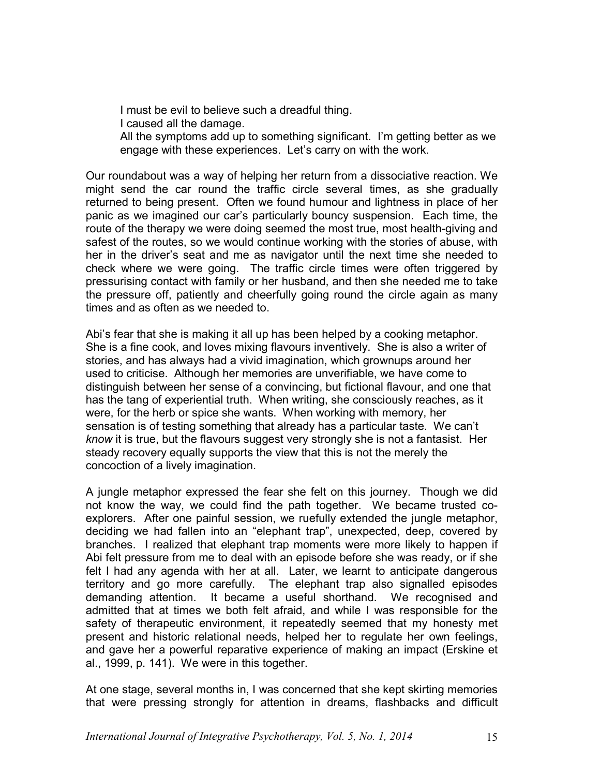I must be evil to believe such a dreadful thing. I caused all the damage. All the symptoms add up to something significant. I'm getting better as we engage with these experiences. Let's carry on with the work.

Our roundabout was a way of helping her return from a dissociative reaction. We might send the car round the traffic circle several times, as she gradually returned to being present. Often we found humour and lightness in place of her panic as we imagined our car's particularly bouncy suspension. Each time, the route of the therapy we were doing seemed the most true, most health-giving and safest of the routes, so we would continue working with the stories of abuse, with her in the driver's seat and me as navigator until the next time she needed to check where we were going. The traffic circle times were often triggered by pressurising contact with family or her husband, and then she needed me to take the pressure off, patiently and cheerfully going round the circle again as many times and as often as we needed to.

Abi's fear that she is making it all up has been helped by a cooking metaphor. She is a fine cook, and loves mixing flavours inventively. She is also a writer of stories, and has always had a vivid imagination, which grownups around her used to criticise. Although her memories are unverifiable, we have come to distinguish between her sense of a convincing, but fictional flavour, and one that has the tang of experiential truth. When writing, she consciously reaches, as it were, for the herb or spice she wants. When working with memory, her sensation is of testing something that already has a particular taste. We can't *know* it is true, but the flavours suggest very strongly she is not a fantasist. Her steady recovery equally supports the view that this is not the merely the concoction of a lively imagination.

A jungle metaphor expressed the fear she felt on this journey. Though we did not know the way, we could find the path together. We became trusted coexplorers. After one painful session, we ruefully extended the jungle metaphor, deciding we had fallen into an "elephant trap", unexpected, deep, covered by branches. I realized that elephant trap moments were more likely to happen if Abi felt pressure from me to deal with an episode before she was ready, or if she felt I had any agenda with her at all. Later, we learnt to anticipate dangerous territory and go more carefully. The elephant trap also signalled episodes demanding attention. It became a useful shorthand. We recognised and admitted that at times we both felt afraid, and while I was responsible for the safety of therapeutic environment, it repeatedly seemed that my honesty met present and historic relational needs, helped her to regulate her own feelings, and gave her a powerful reparative experience of making an impact (Erskine et al., 1999, p. 141). We were in this together.

At one stage, several months in, I was concerned that she kept skirting memories that were pressing strongly for attention in dreams, flashbacks and difficult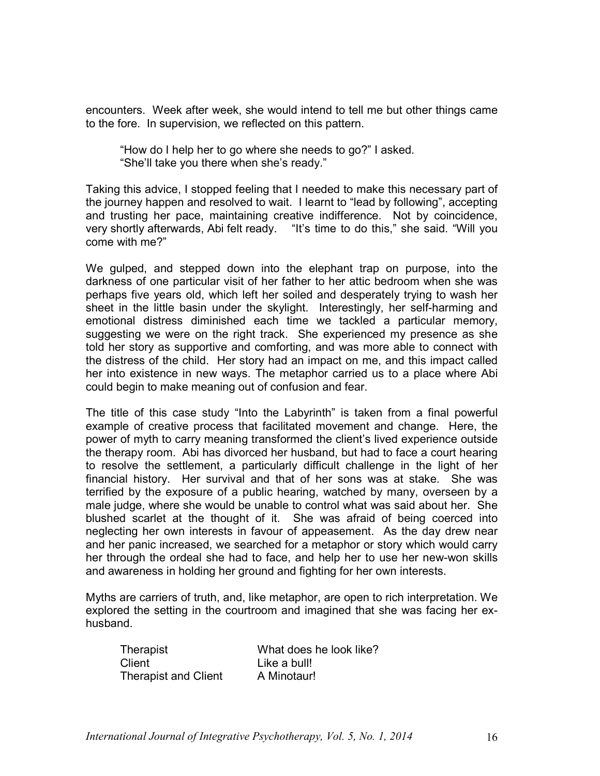encounters. Week after week, she would intend to tell me but other things came to the fore. In supervision, we reflected on this pattern.

"How do I help her to go where she needs to go?" I asked. "She'll take you there when she's ready."

Taking this advice, I stopped feeling that I needed to make this necessary part of the journey happen and resolved to wait. I learnt to "lead by following", accepting and trusting her pace, maintaining creative indifference. Not by coincidence, very shortly afterwards, Abi felt ready. "It's time to do this," she said. "Will you come with me?"

We gulped, and stepped down into the elephant trap on purpose, into the darkness of one particular visit of her father to her attic bedroom when she was perhaps five years old, which left her soiled and desperately trying to wash her sheet in the little basin under the skylight. Interestingly, her self-harming and emotional distress diminished each time we tackled a particular memory, suggesting we were on the right track. She experienced my presence as she told her story as supportive and comforting, and was more able to connect with the distress of the child. Her story had an impact on me, and this impact called her into existence in new ways. The metaphor carried us to a place where Abi could begin to make meaning out of confusion and fear.

The title of this case study "Into the Labyrinth" is taken from a final powerful example of creative process that facilitated movement and change. Here, the power of myth to carry meaning transformed the client's lived experience outside the therapy room. Abi has divorced her husband, but had to face a court hearing to resolve the settlement, a particularly difficult challenge in the light of her financial history. Her survival and that of her sons was at stake. She was terrified by the exposure of a public hearing, watched by many, overseen by a male judge, where she would be unable to control what was said about her. She blushed scarlet at the thought of it. She was afraid of being coerced into neglecting her own interests in favour of appeasement. As the day drew near and her panic increased, we searched for a metaphor or story which would carry her through the ordeal she had to face, and help her to use her new-won skills and awareness in holding her ground and fighting for her own interests.

Myths are carriers of truth, and, like metaphor, are open to rich interpretation. We explored the setting in the courtroom and imagined that she was facing her exhusband.

Therapist What does he look like? Client Like a bull! Therapist and Client A Minotaur!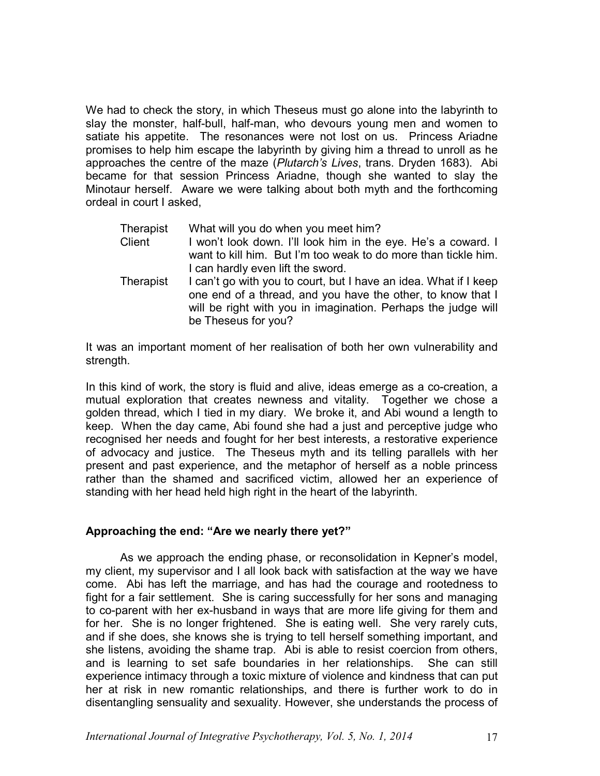We had to check the story, in which Theseus must go alone into the labyrinth to slay the monster, half-bull, half-man, who devours young men and women to satiate his appetite. The resonances were not lost on us. Princess Ariadne promises to help him escape the labyrinth by giving him a thread to unroll as he approaches the centre of the maze (*Plutarch's Lives*, trans. Dryden 1683). Abi became for that session Princess Ariadne, though she wanted to slay the Minotaur herself. Aware we were talking about both myth and the forthcoming ordeal in court I asked,

| Therapist | What will you do when you meet him?                                                                                             |
|-----------|---------------------------------------------------------------------------------------------------------------------------------|
| Client    | I won't look down. I'll look him in the eye. He's a coward. I                                                                   |
|           | want to kill him. But I'm too weak to do more than tickle him.                                                                  |
|           | I can hardly even lift the sword.                                                                                               |
| Therapist | I can't go with you to court, but I have an idea. What if I keep<br>one end of a thread, and you have the other, to know that I |
|           | will be right with you in imagination. Perhaps the judge will                                                                   |
|           | be Theseus for you?                                                                                                             |

It was an important moment of her realisation of both her own vulnerability and strength.

In this kind of work, the story is fluid and alive, ideas emerge as a co-creation, a mutual exploration that creates newness and vitality. Together we chose a golden thread, which I tied in my diary. We broke it, and Abi wound a length to keep. When the day came, Abi found she had a just and perceptive judge who recognised her needs and fought for her best interests, a restorative experience of advocacy and justice. The Theseus myth and its telling parallels with her present and past experience, and the metaphor of herself as a noble princess rather than the shamed and sacrificed victim, allowed her an experience of standing with her head held high right in the heart of the labyrinth.

# **Approaching the end: "Are we nearly there yet?"**

As we approach the ending phase, or reconsolidation in Kepner's model, my client, my supervisor and I all look back with satisfaction at the way we have come. Abi has left the marriage, and has had the courage and rootedness to fight for a fair settlement. She is caring successfully for her sons and managing to co-parent with her ex-husband in ways that are more life giving for them and for her. She is no longer frightened. She is eating well. She very rarely cuts, and if she does, she knows she is trying to tell herself something important, and she listens, avoiding the shame trap. Abi is able to resist coercion from others, and is learning to set safe boundaries in her relationships. She can still experience intimacy through a toxic mixture of violence and kindness that can put her at risk in new romantic relationships, and there is further work to do in disentangling sensuality and sexuality. However, she understands the process of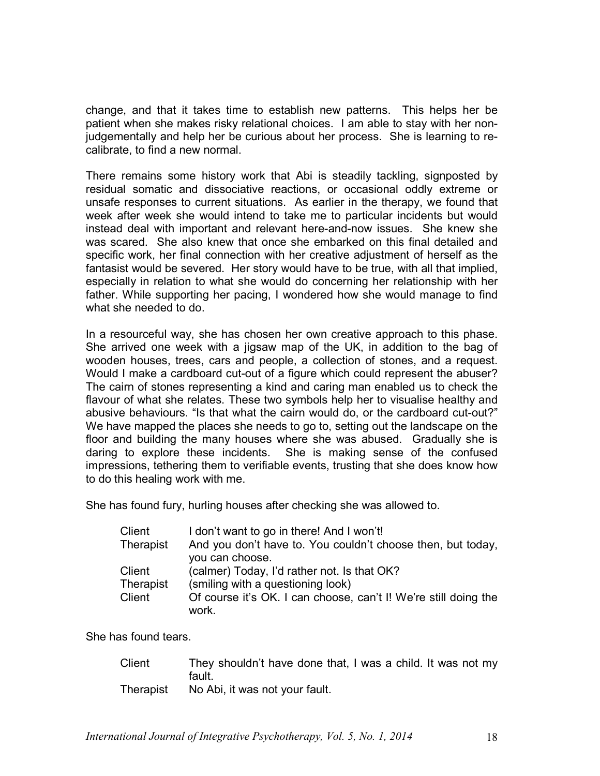change, and that it takes time to establish new patterns. This helps her be patient when she makes risky relational choices. I am able to stay with her nonjudgementally and help her be curious about her process. She is learning to recalibrate, to find a new normal.

There remains some history work that Abi is steadily tackling, signposted by residual somatic and dissociative reactions, or occasional oddly extreme or unsafe responses to current situations. As earlier in the therapy, we found that week after week she would intend to take me to particular incidents but would instead deal with important and relevant here-and-now issues. She knew she was scared. She also knew that once she embarked on this final detailed and specific work, her final connection with her creative adjustment of herself as the fantasist would be severed. Her story would have to be true, with all that implied, especially in relation to what she would do concerning her relationship with her father. While supporting her pacing, I wondered how she would manage to find what she needed to do.

In a resourceful way, she has chosen her own creative approach to this phase. She arrived one week with a jigsaw map of the UK, in addition to the bag of wooden houses, trees, cars and people, a collection of stones, and a request. Would I make a cardboard cut-out of a figure which could represent the abuser? The cairn of stones representing a kind and caring man enabled us to check the flavour of what she relates. These two symbols help her to visualise healthy and abusive behaviours. "Is that what the cairn would do, or the cardboard cut-out?" We have mapped the places she needs to go to, setting out the landscape on the floor and building the many houses where she was abused. Gradually she is daring to explore these incidents. She is making sense of the confused impressions, tethering them to verifiable events, trusting that she does know how to do this healing work with me.

She has found fury, hurling houses after checking she was allowed to.

| Client    | I don't want to go in there! And I won't!                                |
|-----------|--------------------------------------------------------------------------|
| Therapist | And you don't have to. You couldn't choose then, but today,              |
|           | you can choose.                                                          |
| Client    | (calmer) Today, I'd rather not. Is that OK?                              |
| Therapist | (smiling with a questioning look)                                        |
| Client    | Of course it's OK. I can choose, can't I! We're still doing the<br>work. |
|           |                                                                          |

She has found tears.

| Client    | They shouldn't have done that, I was a child. It was not my |
|-----------|-------------------------------------------------------------|
|           | fault.                                                      |
| Therapist | No Abi, it was not your fault.                              |

*International Journal of Integrative Psychotherapy, Vol. 5, No. 1, 2014* 18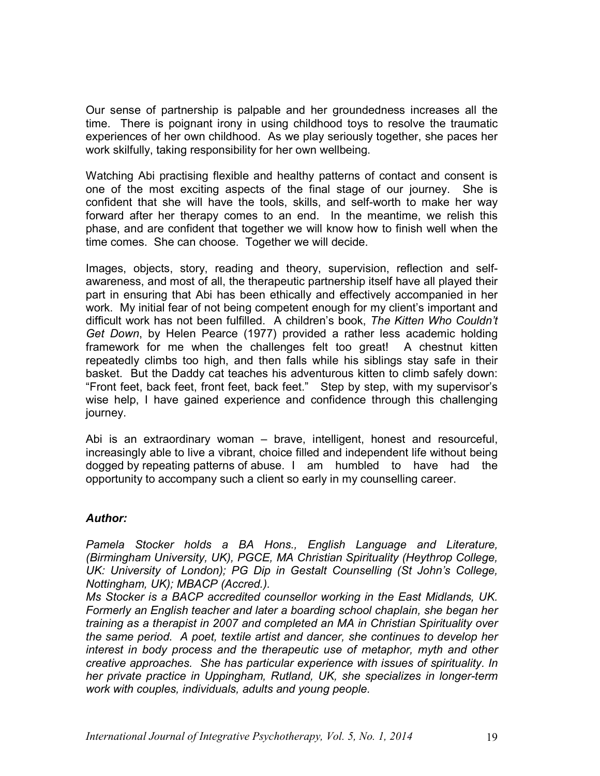Our sense of partnership is palpable and her groundedness increases all the time. There is poignant irony in using childhood toys to resolve the traumatic experiences of her own childhood. As we play seriously together, she paces her work skilfully, taking responsibility for her own wellbeing.

Watching Abi practising flexible and healthy patterns of contact and consent is one of the most exciting aspects of the final stage of our journey. She is confident that she will have the tools, skills, and self-worth to make her way forward after her therapy comes to an end. In the meantime, we relish this phase, and are confident that together we will know how to finish well when the time comes. She can choose. Together we will decide.

Images, objects, story, reading and theory, supervision, reflection and selfawareness, and most of all, the therapeutic partnership itself have all played their part in ensuring that Abi has been ethically and effectively accompanied in her work. My initial fear of not being competent enough for my client's important and difficult work has not been fulfilled. A children's book, *The Kitten Who Couldn't Get Down*, by Helen Pearce (1977) provided a rather less academic holding framework for me when the challenges felt too great! A chestnut kitten repeatedly climbs too high, and then falls while his siblings stay safe in their basket. But the Daddy cat teaches his adventurous kitten to climb safely down: "Front feet, back feet, front feet, back feet." Step by step, with my supervisor's wise help, I have gained experience and confidence through this challenging journey.

Abi is an extraordinary woman – brave, intelligent, honest and resourceful, increasingly able to live a vibrant, choice filled and independent life without being dogged by repeating patterns of abuse. I am humbled to have had the opportunity to accompany such a client so early in my counselling career.

# *Author:*

*Pamela Stocker holds a BA Hons., English Language and Literature, (Birmingham University, UK), PGCE, MA Christian Spirituality (Heythrop College, UK: University of London); PG Dip in Gestalt Counselling (St John's College, Nottingham, UK); MBACP (Accred.).* 

*Ms Stocker is a BACP accredited counsellor working in the East Midlands, UK. Formerly an English teacher and later a boarding school chaplain, she began her training as a therapist in 2007 and completed an MA in Christian Spirituality over the same period. A poet, textile artist and dancer, she continues to develop her interest in body process and the therapeutic use of metaphor, myth and other creative approaches. She has particular experience with issues of spirituality. In her private practice in Uppingham, Rutland, UK, she specializes in longer-term work with couples, individuals, adults and young people.*